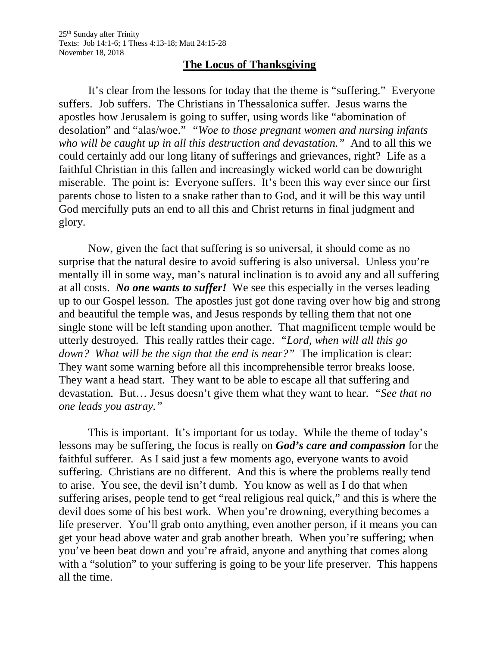## **The Locus of Thanksgiving**

It's clear from the lessons for today that the theme is "suffering." Everyone suffers. Job suffers. The Christians in Thessalonica suffer. Jesus warns the apostles how Jerusalem is going to suffer, using words like "abomination of desolation" and "alas/woe." *"Woe to those pregnant women and nursing infants who will be caught up in all this destruction and devastation."* And to all this we could certainly add our long litany of sufferings and grievances, right? Life as a faithful Christian in this fallen and increasingly wicked world can be downright miserable. The point is: Everyone suffers. It's been this way ever since our first parents chose to listen to a snake rather than to God, and it will be this way until God mercifully puts an end to all this and Christ returns in final judgment and glory.

Now, given the fact that suffering is so universal, it should come as no surprise that the natural desire to avoid suffering is also universal. Unless you're mentally ill in some way, man's natural inclination is to avoid any and all suffering at all costs. *No one wants to suffer!* We see this especially in the verses leading up to our Gospel lesson. The apostles just got done raving over how big and strong and beautiful the temple was, and Jesus responds by telling them that not one single stone will be left standing upon another. That magnificent temple would be utterly destroyed. This really rattles their cage. *"Lord, when will all this go down? What will be the sign that the end is near?"* The implication is clear: They want some warning before all this incomprehensible terror breaks loose. They want a head start. They want to be able to escape all that suffering and devastation. But… Jesus doesn't give them what they want to hear. *"See that no one leads you astray."*

This is important. It's important for us today. While the theme of today's lessons may be suffering, the focus is really on *God's care and compassion* for the faithful sufferer. As I said just a few moments ago, everyone wants to avoid suffering. Christians are no different. And this is where the problems really tend to arise. You see, the devil isn't dumb. You know as well as I do that when suffering arises, people tend to get "real religious real quick," and this is where the devil does some of his best work. When you're drowning, everything becomes a life preserver. You'll grab onto anything, even another person, if it means you can get your head above water and grab another breath. When you're suffering; when you've been beat down and you're afraid, anyone and anything that comes along with a "solution" to your suffering is going to be your life preserver. This happens all the time.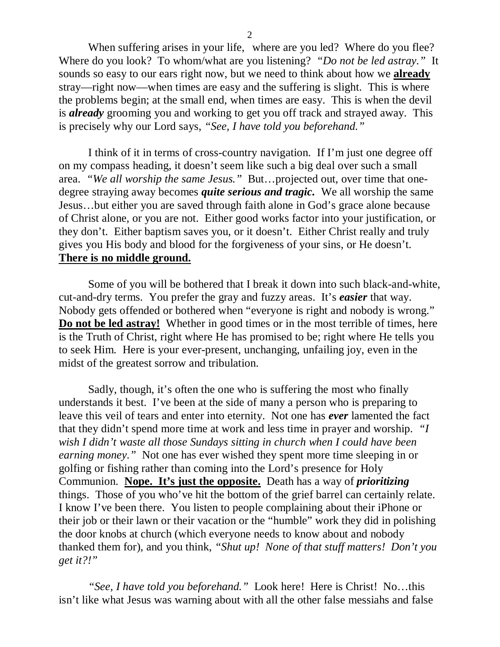When suffering arises in your life, where are you led? Where do you flee? Where do you look? To whom/what are you listening? *"Do not be led astray."* It sounds so easy to our ears right now, but we need to think about how we **already** stray—right now—when times are easy and the suffering is slight. This is where the problems begin; at the small end, when times are easy. This is when the devil is *already* grooming you and working to get you off track and strayed away. This is precisely why our Lord says, *"See, I have told you beforehand."*

I think of it in terms of cross-country navigation. If I'm just one degree off on my compass heading, it doesn't seem like such a big deal over such a small area. *"We all worship the same Jesus."* But…projected out, over time that onedegree straying away becomes *quite serious and tragic.* We all worship the same Jesus…but either you are saved through faith alone in God's grace alone because of Christ alone, or you are not. Either good works factor into your justification, or they don't. Either baptism saves you, or it doesn't. Either Christ really and truly gives you His body and blood for the forgiveness of your sins, or He doesn't. **There is no middle ground.**

Some of you will be bothered that I break it down into such black-and-white, cut-and-dry terms. You prefer the gray and fuzzy areas. It's *easier* that way. Nobody gets offended or bothered when "everyone is right and nobody is wrong." **Do not be led astray!** Whether in good times or in the most terrible of times, here is the Truth of Christ, right where He has promised to be; right where He tells you to seek Him. Here is your ever-present, unchanging, unfailing joy, even in the midst of the greatest sorrow and tribulation.

Sadly, though, it's often the one who is suffering the most who finally understands it best. I've been at the side of many a person who is preparing to leave this veil of tears and enter into eternity. Not one has *ever* lamented the fact that they didn't spend more time at work and less time in prayer and worship. *"I wish I didn't waste all those Sundays sitting in church when I could have been earning money."* Not one has ever wished they spent more time sleeping in or golfing or fishing rather than coming into the Lord's presence for Holy Communion. **Nope. It's just the opposite.** Death has a way of *prioritizing* things. Those of you who've hit the bottom of the grief barrel can certainly relate. I know I've been there. You listen to people complaining about their iPhone or their job or their lawn or their vacation or the "humble" work they did in polishing the door knobs at church (which everyone needs to know about and nobody thanked them for), and you think, *"Shut up! None of that stuff matters! Don't you get it?!"*

*"See, I have told you beforehand."* Look here! Here is Christ! No…this isn't like what Jesus was warning about with all the other false messiahs and false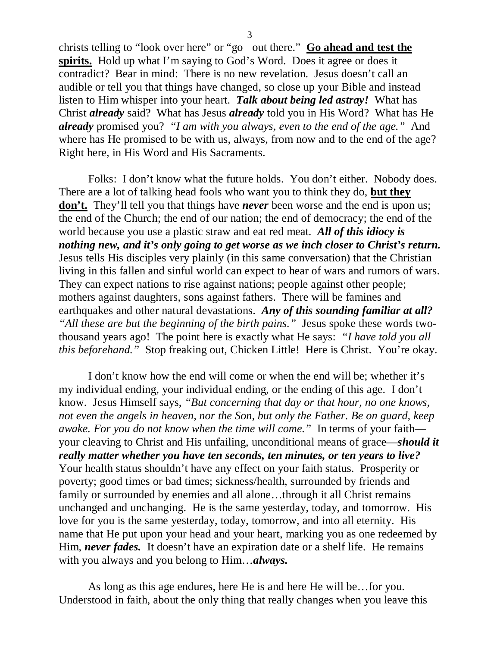christs telling to "look over here" or "go out there." **Go ahead and test the**  spirits. Hold up what I'm saying to God's Word. Does it agree or does it contradict? Bear in mind: There is no new revelation. Jesus doesn't call an audible or tell you that things have changed, so close up your Bible and instead listen to Him whisper into your heart. *Talk about being led astray!* What has Christ *already* said? What has Jesus *already* told you in His Word? What has He *already* promised you? *"I am with you always, even to the end of the age."* And where has He promised to be with us, always, from now and to the end of the age? Right here, in His Word and His Sacraments.

Folks: I don't know what the future holds. You don't either. Nobody does. There are a lot of talking head fools who want you to think they do, **but they don't.** They'll tell you that things have *never* been worse and the end is upon us; the end of the Church; the end of our nation; the end of democracy; the end of the world because you use a plastic straw and eat red meat. *All of this idiocy is nothing new, and it's only going to get worse as we inch closer to Christ's return.* Jesus tells His disciples very plainly (in this same conversation) that the Christian living in this fallen and sinful world can expect to hear of wars and rumors of wars. They can expect nations to rise against nations; people against other people; mothers against daughters, sons against fathers. There will be famines and earthquakes and other natural devastations. *Any of this sounding familiar at all? "All these are but the beginning of the birth pains."* Jesus spoke these words twothousand years ago! The point here is exactly what He says: *"I have told you all this beforehand."* Stop freaking out, Chicken Little! Here is Christ. You're okay.

I don't know how the end will come or when the end will be; whether it's my individual ending, your individual ending, or the ending of this age. I don't know. Jesus Himself says, *"But concerning that day or that hour, no one knows, not even the angels in heaven, nor the Son, but only the Father. Be on guard, keep awake. For you do not know when the time will come."* In terms of your faith your cleaving to Christ and His unfailing, unconditional means of grace—*should it really matter whether you have ten seconds, ten minutes, or ten years to live?* Your health status shouldn't have any effect on your faith status. Prosperity or poverty; good times or bad times; sickness/health, surrounded by friends and family or surrounded by enemies and all alone…through it all Christ remains unchanged and unchanging. He is the same yesterday, today, and tomorrow. His love for you is the same yesterday, today, tomorrow, and into all eternity. His name that He put upon your head and your heart, marking you as one redeemed by Him, *never fades*. It doesn't have an expiration date or a shelf life. He remains with you always and you belong to Him…*always.*

As long as this age endures, here He is and here He will be…for you. Understood in faith, about the only thing that really changes when you leave this